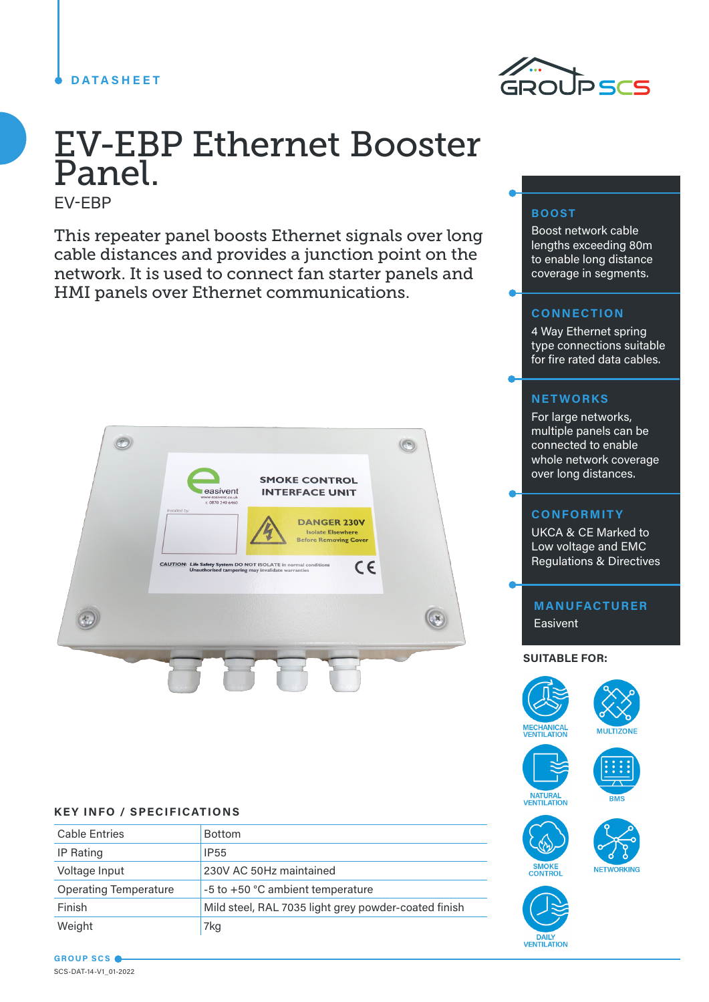### **DATASHEET**



# EV-EBP Ethernet Booster Panel.

EV-EBP

This repeater panel boosts Ethernet signals over long cable distances and provides a junction point on the network. It is used to connect fan starter panels and HMI panels over Ethernet communications.



#### **KEY INFO / SPECIFICATIONS**

| <b>Cable Entries</b>         | <b>Bottom</b>                                        |
|------------------------------|------------------------------------------------------|
| IP Rating                    | <b>IP55</b>                                          |
| Voltage Input                | 230V AC 50Hz maintained                              |
| <b>Operating Temperature</b> | -5 to +50 °C ambient temperature                     |
| Finish                       | Mild steel, RAL 7035 light grey powder-coated finish |
| Weight                       | 7kg                                                  |

# **BOOST**

Boost network cable lengths exceeding 80m to enable long distance coverage in segments.

## **CONNECTION**

4 Way Ethernet spring type connections suitable for fire rated data cables.

### **NETWORKS**

For large networks, multiple panels can be connected to enable whole network coverage over long distances.

#### **CONFORMITY**

UKCA & CE Marked to Low voltage and EMC Regulations & Directives

**MANUFACTURER Easivent** 

#### **SUITABLE FOR:**













#### **GROUP SCS** SCS-DAT-14-V1\_01-2022